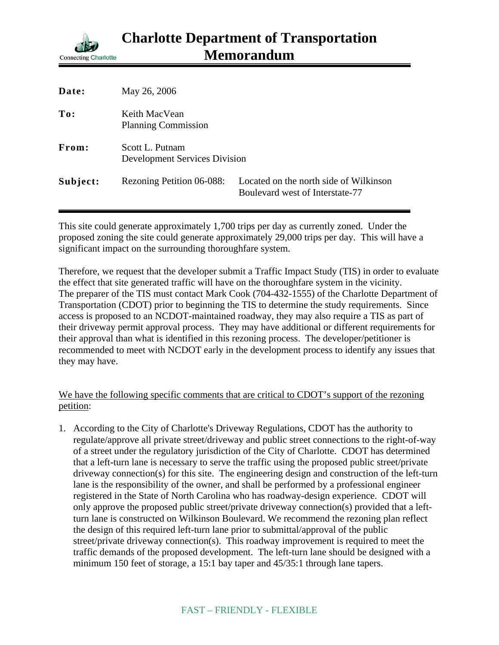

| Date:    | May 26, 2006                                            |                                                                           |
|----------|---------------------------------------------------------|---------------------------------------------------------------------------|
| To:      | Keith MacVean<br><b>Planning Commission</b>             |                                                                           |
| From:    | Scott L. Putnam<br><b>Development Services Division</b> |                                                                           |
| Subject: | Rezoning Petition 06-088:                               | Located on the north side of Wilkinson<br>Boulevard west of Interstate-77 |

This site could generate approximately 1,700 trips per day as currently zoned. Under the proposed zoning the site could generate approximately 29,000 trips per day. This will have a significant impact on the surrounding thoroughfare system.

Therefore, we request that the developer submit a Traffic Impact Study (TIS) in order to evaluate the effect that site generated traffic will have on the thoroughfare system in the vicinity. The preparer of the TIS must contact Mark Cook (704-432-1555) of the Charlotte Department of Transportation (CDOT) prior to beginning the TIS to determine the study requirements. Since access is proposed to an NCDOT-maintained roadway, they may also require a TIS as part of their driveway permit approval process. They may have additional or different requirements for their approval than what is identified in this rezoning process. The developer/petitioner is recommended to meet with NCDOT early in the development process to identify any issues that they may have.

## We have the following specific comments that are critical to CDOT's support of the rezoning petition:

1. According to the City of Charlotte's Driveway Regulations, CDOT has the authority to regulate/approve all private street/driveway and public street connections to the right-of-way of a street under the regulatory jurisdiction of the City of Charlotte. CDOT has determined that a left-turn lane is necessary to serve the traffic using the proposed public street/private driveway connection(s) for this site. The engineering design and construction of the left-turn lane is the responsibility of the owner, and shall be performed by a professional engineer registered in the State of North Carolina who has roadway-design experience. CDOT will only approve the proposed public street/private driveway connection(s) provided that a leftturn lane is constructed on Wilkinson Boulevard. We recommend the rezoning plan reflect the design of this required left-turn lane prior to submittal/approval of the public street/private driveway connection(s). This roadway improvement is required to meet the traffic demands of the proposed development. The left-turn lane should be designed with a minimum 150 feet of storage, a 15:1 bay taper and 45/35:1 through lane tapers.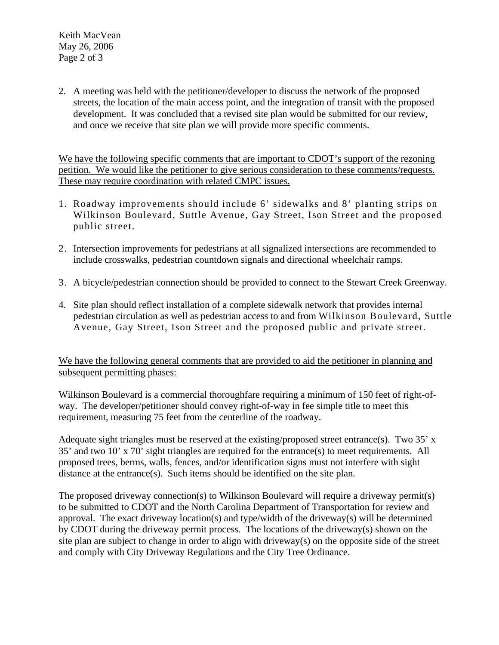Keith MacVean May 26, 2006 Page 2 of 3

2. A meeting was held with the petitioner/developer to discuss the network of the proposed streets, the location of the main access point, and the integration of transit with the proposed development. It was concluded that a revised site plan would be submitted for our review, and once we receive that site plan we will provide more specific comments.

We have the following specific comments that are important to CDOT's support of the rezoning petition. We would like the petitioner to give serious consideration to these comments/requests. These may require coordination with related CMPC issues.

- 1. Roadway improvements should include 6' sidewalks and 8' planting strips on Wilkinson Boulevard, Suttle Avenue, Gay Street, Ison Street and the proposed public street.
- 2. Intersection improvements for pedestrians at all signalized intersections are recommended to include crosswalks, pedestrian countdown signals and directional wheelchair ramps.
- 3. A bicycle/pedestrian connection should be provided to connect to the Stewart Creek Greenway.
- 4. Site plan should reflect installation of a complete sidewalk network that provides internal pedestrian circulation as well as pedestrian access to and from Wilkinson Boulevard, Suttle Avenue, Gay Street, Ison Street and the proposed public and private street.

We have the following general comments that are provided to aid the petitioner in planning and subsequent permitting phases:

Wilkinson Boulevard is a commercial thoroughfare requiring a minimum of 150 feet of right-ofway. The developer/petitioner should convey right-of-way in fee simple title to meet this requirement, measuring 75 feet from the centerline of the roadway.

Adequate sight triangles must be reserved at the existing/proposed street entrance(s). Two 35' x 35' and two 10' x 70' sight triangles are required for the entrance(s) to meet requirements. All proposed trees, berms, walls, fences, and/or identification signs must not interfere with sight distance at the entrance(s). Such items should be identified on the site plan.

The proposed driveway connection(s) to Wilkinson Boulevard will require a driveway permit(s) to be submitted to CDOT and the North Carolina Department of Transportation for review and approval. The exact driveway location(s) and type/width of the driveway(s) will be determined by CDOT during the driveway permit process. The locations of the driveway(s) shown on the site plan are subject to change in order to align with driveway(s) on the opposite side of the street and comply with City Driveway Regulations and the City Tree Ordinance.